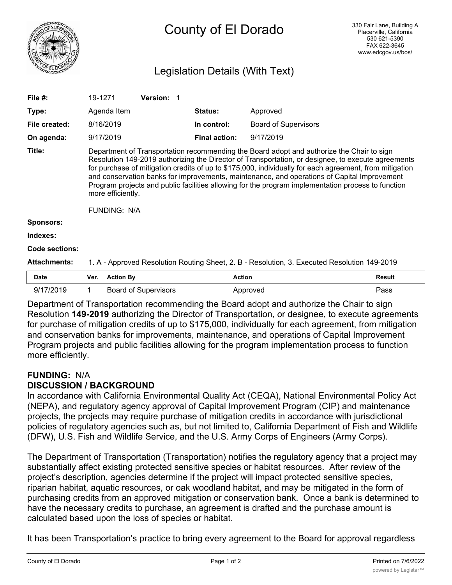

# County of El Dorado

# Legislation Details (With Text)

| File #:             | 19-1271                                                                                                                                                                                                                                                                                                                                                                                                                                                                                                                                                     |                  | <b>Version:</b>             |                      |                             |               |
|---------------------|-------------------------------------------------------------------------------------------------------------------------------------------------------------------------------------------------------------------------------------------------------------------------------------------------------------------------------------------------------------------------------------------------------------------------------------------------------------------------------------------------------------------------------------------------------------|------------------|-----------------------------|----------------------|-----------------------------|---------------|
| Type:               |                                                                                                                                                                                                                                                                                                                                                                                                                                                                                                                                                             | Agenda Item      |                             | Status:              | Approved                    |               |
| File created:       | 8/16/2019                                                                                                                                                                                                                                                                                                                                                                                                                                                                                                                                                   |                  |                             | In control:          | <b>Board of Supervisors</b> |               |
| On agenda:          |                                                                                                                                                                                                                                                                                                                                                                                                                                                                                                                                                             | 9/17/2019        |                             | <b>Final action:</b> | 9/17/2019                   |               |
| Title:              | Department of Transportation recommending the Board adopt and authorize the Chair to sign<br>Resolution 149-2019 authorizing the Director of Transportation, or designee, to execute agreements<br>for purchase of mitigation credits of up to \$175,000, individually for each agreement, from mitigation<br>and conservation banks for improvements, maintenance, and operations of Capital Improvement<br>Program projects and public facilities allowing for the program implementation process to function<br>more efficiently.<br><b>FUNDING: N/A</b> |                  |                             |                      |                             |               |
| Sponsors:           |                                                                                                                                                                                                                                                                                                                                                                                                                                                                                                                                                             |                  |                             |                      |                             |               |
| Indexes:            |                                                                                                                                                                                                                                                                                                                                                                                                                                                                                                                                                             |                  |                             |                      |                             |               |
| Code sections:      |                                                                                                                                                                                                                                                                                                                                                                                                                                                                                                                                                             |                  |                             |                      |                             |               |
| <b>Attachments:</b> | 1. A - Approved Resolution Routing Sheet, 2. B - Resolution, 3. Executed Resolution 149-2019                                                                                                                                                                                                                                                                                                                                                                                                                                                                |                  |                             |                      |                             |               |
| <b>Date</b>         | Ver.                                                                                                                                                                                                                                                                                                                                                                                                                                                                                                                                                        | <b>Action By</b> |                             | <b>Action</b>        |                             | <b>Result</b> |
| 9/17/2019           | 1                                                                                                                                                                                                                                                                                                                                                                                                                                                                                                                                                           |                  | <b>Board of Supervisors</b> |                      | Approved                    | Pass          |

Department of Transportation recommending the Board adopt and authorize the Chair to sign Resolution **149-2019** authorizing the Director of Transportation, or designee, to execute agreements for purchase of mitigation credits of up to \$175,000, individually for each agreement, from mitigation and conservation banks for improvements, maintenance, and operations of Capital Improvement Program projects and public facilities allowing for the program implementation process to function more efficiently.

## **FUNDING:** N/A **DISCUSSION / BACKGROUND**

In accordance with California Environmental Quality Act (CEQA), National Environmental Policy Act (NEPA), and regulatory agency approval of Capital Improvement Program (CIP) and maintenance projects, the projects may require purchase of mitigation credits in accordance with jurisdictional policies of regulatory agencies such as, but not limited to, California Department of Fish and Wildlife (DFW), U.S. Fish and Wildlife Service, and the U.S. Army Corps of Engineers (Army Corps).

The Department of Transportation (Transportation) notifies the regulatory agency that a project may substantially affect existing protected sensitive species or habitat resources. After review of the project's description, agencies determine if the project will impact protected sensitive species, riparian habitat, aquatic resources, or oak woodland habitat, and may be mitigated in the form of purchasing credits from an approved mitigation or conservation bank. Once a bank is determined to have the necessary credits to purchase, an agreement is drafted and the purchase amount is calculated based upon the loss of species or habitat.

It has been Transportation's practice to bring every agreement to the Board for approval regardless